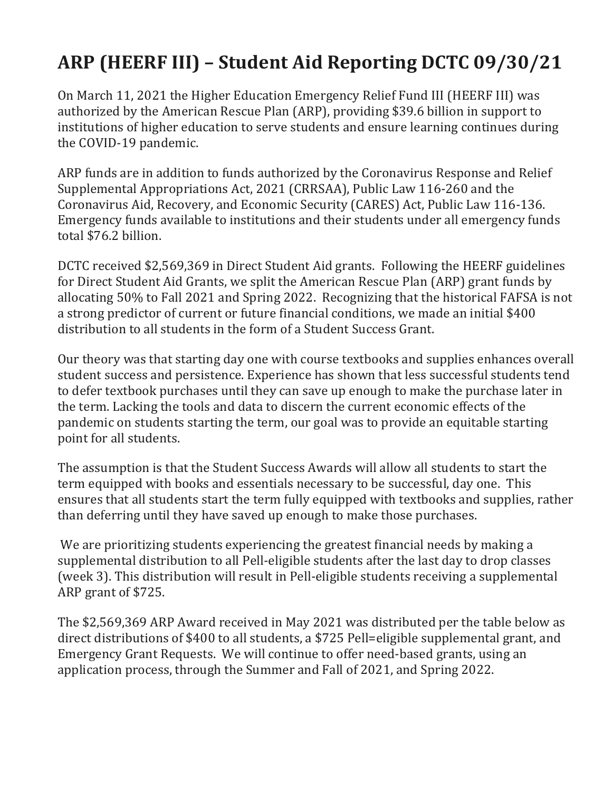## **ARP (HEERF III) – Student Aid Reporting DCTC 09/30/21**

On March 11, 2021 the Higher Education Emergency Relief Fund III (HEERF III) was authorized by the American Rescue Plan (ARP), providing \$39.6 billion in support to institutions of higher education to serve students and ensure learning continues during the COVID-19 pandemic.

ARP funds are in addition to funds authorized by the Coronavirus Response and Relief Supplemental Appropriations Act, 2021 (CRRSAA), Public Law 116-260 and the Coronavirus Aid, Recovery, and Economic Security (CARES) Act, Public Law 116-136. Emergency funds available to institutions and their students under all emergency funds total \$76.2 billion.

DCTC received \$2,569,369 in Direct Student Aid grants. Following the HEERF guidelines for Direct Student Aid Grants, we split the American Rescue Plan (ARP) grant funds by allocating 50% to Fall 2021 and Spring 2022. Recognizing that the historical FAFSA is not a strong predictor of current or future financial conditions, we made an initial \$400 distribution to all students in the form of a Student Success Grant.

Our theory was that starting day one with course textbooks and supplies enhances overall student success and persistence. Experience has shown that less successful students tend to defer textbook purchases until they can save up enough to make the purchase later in the term. Lacking the tools and data to discern the current economic effects of the pandemic on students starting the term, our goal was to provide an equitable starting point for all students.

The assumption is that the Student Success Awards will allow all students to start the term equipped with books and essentials necessary to be successful, day one. This ensures that all students start the term fully equipped with textbooks and supplies, rather than deferring until they have saved up enough to make those purchases.

We are prioritizing students experiencing the greatest financial needs by making a supplemental distribution to all Pell-eligible students after the last day to drop classes (week 3). This distribution will result in Pell-eligible students receiving a supplemental ARP grant of \$725.

The \$2,569,369 ARP Award received in May 2021 was distributed per the table below as direct distributions of \$400 to all students, a \$725 Pell=eligible supplemental grant, and Emergency Grant Requests. We will continue to offer need-based grants, using an application process, through the Summer and Fall of 2021, and Spring 2022.